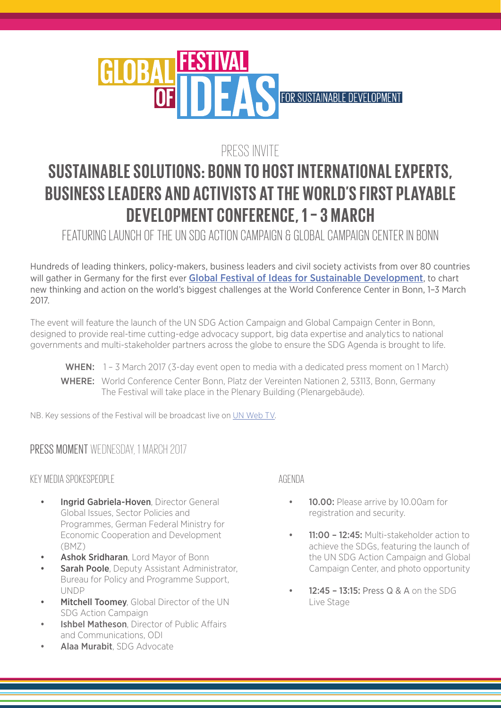

# PRESS INVITE

# **SUSTAINABLE SOLUTIONS: BONN TO HOST INTERNATIONAL EXPERTS, BUSINESS LEADERS AND ACTIVISTS AT THE WORLD'S FIRST PLAYABLE DEVELOPMENT CONFERENCE, 1 – 3 MARCH**

FEATURING LAUNCH OF THE UN SDG ACTION CAMPAIGN & GLOBAL CAMPAIGN CENTER IN BONN

Hundreds of leading thinkers, policy-makers, business leaders and civil society activists from over 80 countries will gather in Germany for the first ever [Global Festival of Ideas for Sustainable Development](http://globalfestivalofideas.org), to chart new thinking and action on the world's biggest challenges at the World Conference Center in Bonn, 1–3 March 2017.

The event will feature the launch of the UN SDG Action Campaign and Global Campaign Center in Bonn, designed to provide real-time cutting-edge advocacy support, big data expertise and analytics to national governments and multi-stakeholder partners across the globe to ensure the SDG Agenda is brought to life.

WHEN: 1 – 3 March 2017 (3-day event open to media with a dedicated press moment on 1 March) WHERE: World Conference Center Bonn, Platz der Vereinten Nationen 2, 53113, Bonn, Germany The Festival will take place in the Plenary Building (Plenargebäude).

NB. Key sessions of the Festival will be broadcast live on [UN Web TV](http://webtv.un.org/).

## PRESS MOMENT WEDNESDAY, 1 MARCH 2017

#### KEY MEDIA SPOKESPEOPLE

- **Ingrid Gabriela-Hoven**, Director General Global Issues, Sector Policies and Programmes, German Federal Ministry for Economic Cooperation and Development (BMZ)
- Ashok Sridharan, Lord Mayor of Bonn
- **Sarah Poole**, Deputy Assistant Administrator, Bureau for Policy and Programme Support, UNDP
- **Mitchell Toomey**, Global Director of the UN SDG Action Campaign
- **Ishbel Matheson**, Director of Public Affairs and Communications, ODI
- Alaa Murabit, SDG Advocate

#### AGENDA

- **10.00:** Please arrive by 10.00am for registration and security.
- 11:00 12:45: Multi-stakeholder action to achieve the SDGs, featuring the launch of the UN SDG Action Campaign and Global Campaign Center, and photo opportunity
- 12:45 13:15: Press Q & A on the SDG Live Stage